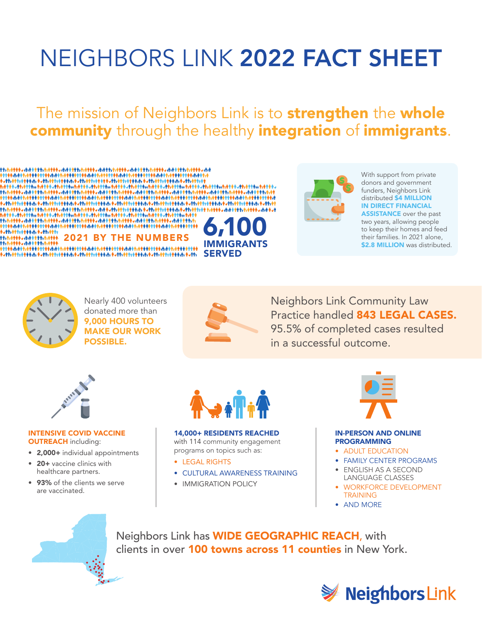# NEIGHBORS LINK 2022 FACT SHEET

### The mission of Neighbors Link is to **strengthen** the whole community through the healthy integration of immigrants.





With support from private donors and government funders, Neighbors Link distributed \$4 MILLION IN DIRECT FINANCIAL **ASSISTANCE** over the past two years, allowing people to keep their homes and feed their families. In 2021 alone, **\$2.8 MILLION** was distributed.



Nearly 400 volunteers donated more than 9,000 HOURS TO MAKE OUR WORK POSSIBLE.



Neighbors Link Community Law Practice handled 843 LEGAL CASES. 95.5% of completed cases resulted in a successful outcome.



INTENSIVE COVID VACCINE **OUTREACH** including:

- 2,000+ individual appointments
- 20+ vaccine clinics with healthcare partners.
- 93% of the clients we serve are vaccinated.



#### 14,000+ RESIDENTS REACHED with 114 community engagement

programs on topics such as:

- LEGAL RIGHTS
- CULTURAL AWARENESS TRAINING
- IMMIGRATION POLICY



#### IN-PERSON AND ONLINE PROGRAMMING

- ADULT EDUCATION
- FAMILY CENTER PROGRAMS
- ENGLISH AS A SECOND LANGUAGE CLASSES
- WORKFORCE DEVELOPMENT **TRAINING**
- AND MORE



Neighbors Link has WIDE GEOGRAPHIC REACH, with clients in over 100 towns across 11 counties in New York.